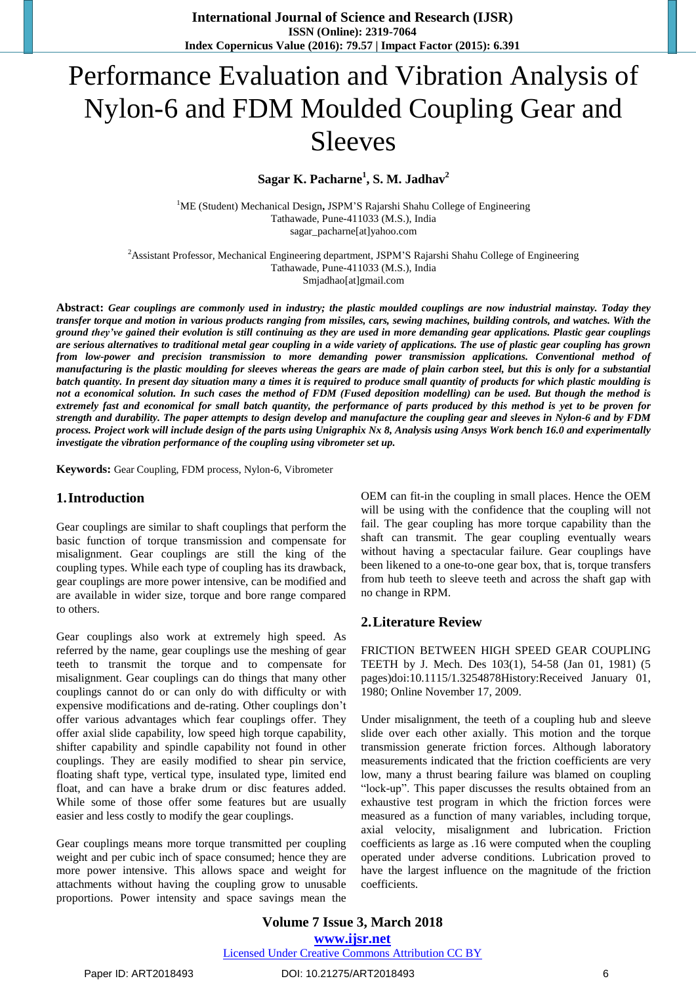# Performance Evaluation and Vibration Analysis of Nylon-6 and FDM Moulded Coupling Gear and Sleeves

# **Sagar K. Pacharne<sup>1</sup> , S. M. Jadhav<sup>2</sup>**

<sup>1</sup>ME (Student) Mechanical Design**,** JSPM'S Rajarshi Shahu College of Engineering Tathawade, Pune-411033 (M.S.), India sagar\_pacharne[at]yahoo.com

<sup>2</sup>Assistant Professor, Mechanical Engineering department, JSPM'S Rajarshi Shahu College of Engineering Tathawade, Pune-411033 (M.S.), India Smjadhao[at]gmail.com

Abstract: Gear couplings are commonly used in industry; the plastic moulded couplings are now industrial mainstay. Today they transfer torque and motion in various products ranging from missiles, cars, sewing machines, building controls, and watches. With the ground they've gained their evolution is still continuing as they are used in more demanding gear applications. Plastic gear couplings are serious alternatives to traditional metal gear coupling in a wide variety of applications. The use of plastic gear coupling has grown *from low-power and precision transmission to more demanding power transmission applications. Conventional method of* manufacturing is the plastic moulding for sleeves whereas the gears are made of plain carbon steel, but this is only for a substantial batch quantity. In present day situation many a times it is required to produce small quantity of products for which plastic moulding is not a economical solution. In such cases the method of FDM (Fused deposition modelling) can be used. But though the method is extremely fast and economical for small batch quantity, the performance of parts produced by this method is yet to be proven for strength and durability. The paper attempts to design develop and manufacture the coupling gear and sleeves in Nylon-6 and by FDM process. Project work will include design of the parts using Unigraphix Nx 8, Analysis using Ansys Work bench 16.0 and experimentally *investigate the vibration performance of the coupling using vibrometer set up.*

**Keywords:** Gear Coupling, FDM process, Nylon-6, Vibrometer

## **1.Introduction**

Gear couplings are similar to shaft couplings that perform the basic function of torque transmission and compensate for misalignment. Gear couplings are still the king of the coupling types. While each type of coupling has its drawback, gear couplings are more power intensive, can be modified and are available in wider size, torque and bore range compared to others.

Gear couplings also work at extremely high speed. As referred by the name, gear couplings use the meshing of gear teeth to transmit the torque and to compensate for misalignment. Gear couplings can do things that many other couplings cannot do or can only do with difficulty or with expensive modifications and de-rating. Other couplings don't offer various advantages which fear couplings offer. They offer axial slide capability, low speed high torque capability, shifter capability and spindle capability not found in other couplings. They are easily modified to shear pin service, floating shaft type, vertical type, insulated type, limited end float, and can have a brake drum or disc features added. While some of those offer some features but are usually easier and less costly to modify the gear couplings.

Gear couplings means more torque transmitted per coupling weight and per cubic inch of space consumed; hence they are more power intensive. This allows space and weight for attachments without having the coupling grow to unusable proportions. Power intensity and space savings mean the

OEM can fit-in the coupling in small places. Hence the OEM will be using with the confidence that the coupling will not fail. The gear coupling has more torque capability than the shaft can transmit. The gear coupling eventually wears without having a spectacular failure. Gear couplings have been likened to a one-to-one gear box, that is, torque transfers from hub teeth to sleeve teeth and across the shaft gap with no change in RPM.

## **2.Literature Review**

FRICTION BETWEEN HIGH SPEED GEAR COUPLING TEETH by J. Mech. Des 103(1), 54-58 (Jan 01, 1981) (5 pages)doi:10.1115/1.3254878History:Received January 01, 1980; Online November 17, 2009.

Under misalignment, the teeth of a coupling hub and sleeve slide over each other axially. This motion and the torque transmission generate friction forces. Although laboratory measurements indicated that the friction coefficients are very low, many a thrust bearing failure was blamed on coupling "lock-up". This paper discusses the results obtained from an exhaustive test program in which the friction forces were measured as a function of many variables, including torque, axial velocity, misalignment and lubrication. Friction coefficients as large as .16 were computed when the coupling operated under adverse conditions. Lubrication proved to have the largest influence on the magnitude of the friction coefficients.

**Volume 7 Issue 3, March 2018 [www.ijsr.net](file:///D:\IJSR%20Website\www.ijsr.net)** [Licensed Under Creative Commons Attribution CC BY](http://creativecommons.org/licenses/by/4.0/)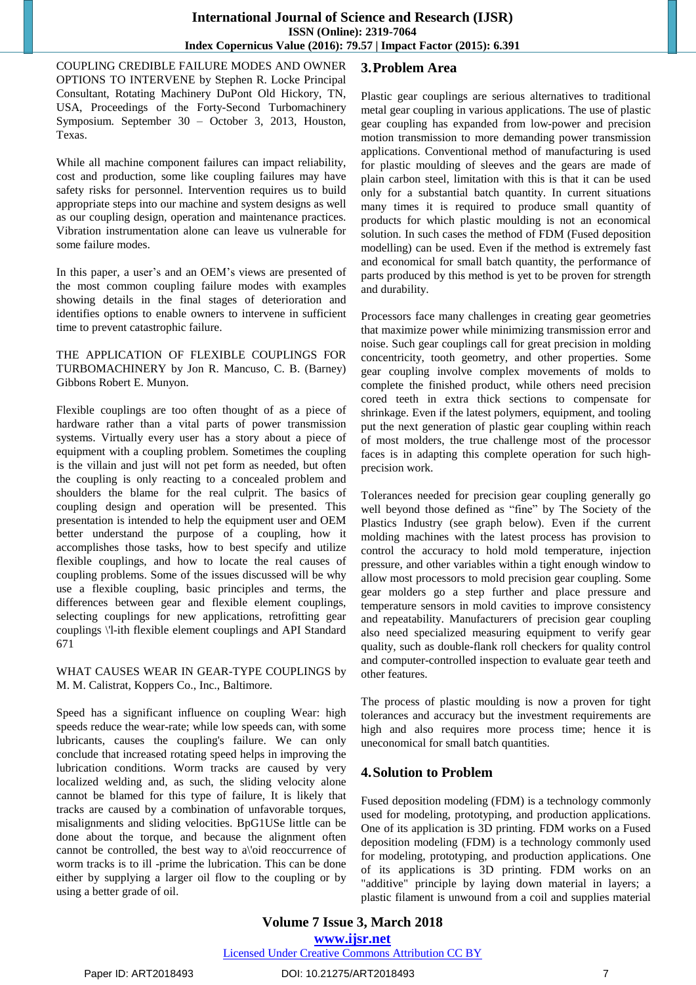COUPLING CREDIBLE FAILURE MODES AND OWNER OPTIONS TO INTERVENE by Stephen R. Locke Principal Consultant, Rotating Machinery DuPont Old Hickory, TN, USA, Proceedings of the Forty-Second Turbomachinery Symposium. September 30 – October 3, 2013, Houston, Texas.

While all machine component failures can impact reliability, cost and production, some like coupling failures may have safety risks for personnel. Intervention requires us to build appropriate steps into our machine and system designs as well as our coupling design, operation and maintenance practices. Vibration instrumentation alone can leave us vulnerable for some failure modes.

In this paper, a user's and an OEM's views are presented of the most common coupling failure modes with examples showing details in the final stages of deterioration and identifies options to enable owners to intervene in sufficient time to prevent catastrophic failure.

#### THE APPLICATION OF FLEXIBLE COUPLINGS FOR TURBOMACHINERY by Jon R. Mancuso, C. B. (Barney) Gibbons Robert E. Munyon.

Flexible couplings are too often thought of as a piece of hardware rather than a vital parts of power transmission systems. Virtually every user has a story about a piece of equipment with a coupling problem. Sometimes the coupling is the villain and just will not pet form as needed, but often the coupling is only reacting to a concealed problem and shoulders the blame for the real culprit. The basics of coupling design and operation will be presented. This presentation is intended to help the equipment user and OEM better understand the purpose of a coupling, how it accomplishes those tasks, how to best specify and utilize flexible couplings, and how to locate the real causes of coupling problems. Some of the issues discussed will be why use a flexible coupling, basic principles and terms, the differences between gear and flexible element couplings, selecting couplings for new applications, retrofitting gear couplings \'l-ith flexible element couplings and API Standard 671

WHAT CAUSES WEAR IN GEAR-TYPE COUPLINGS by M. M. Calistrat, Koppers Co., Inc., Baltimore.

Speed has a significant influence on coupling Wear: high speeds reduce the wear-rate; while low speeds can, with some lubricants, causes the coupling's failure. We can only conclude that increased rotating speed helps in improving the lubrication conditions. Worm tracks are caused by very localized welding and, as such, the sliding velocity alone cannot be blamed for this type of failure, It is likely that tracks are caused by a combination of unfavorable torques, misalignments and sliding velocities. BpG1USe little can be done about the torque, and because the alignment often cannot be controlled, the best way to a\'oid reoccurrence of worm tracks is to ill -prime the lubrication. This can be done either by supplying a larger oil flow to the coupling or by using a better grade of oil.

# **3.Problem Area**

Plastic gear couplings are serious alternatives to traditional metal gear coupling in various applications. The use of plastic gear coupling has expanded from low-power and precision motion transmission to more demanding power transmission applications. Conventional method of manufacturing is used for plastic moulding of sleeves and the gears are made of plain carbon steel, limitation with this is that it can be used only for a substantial batch quantity. In current situations many times it is required to produce small quantity of products for which plastic moulding is not an economical solution. In such cases the method of FDM (Fused deposition modelling) can be used. Even if the method is extremely fast and economical for small batch quantity, the performance of parts produced by this method is yet to be proven for strength and durability.

Processors face many challenges in creating gear geometries that maximize power while minimizing transmission error and noise. Such gear couplings call for great precision in molding concentricity, tooth geometry, and other properties. Some gear coupling involve complex movements of molds to complete the finished product, while others need precision cored teeth in extra thick sections to compensate for shrinkage. Even if the latest polymers, equipment, and tooling put the next generation of plastic gear coupling within reach of most molders, the true challenge most of the processor faces is in adapting this complete operation for such highprecision work.

Tolerances needed for precision gear coupling generally go well beyond those defined as "fine" by The Society of the Plastics Industry (see graph below). Even if the current molding machines with the latest process has provision to control the accuracy to hold mold temperature, injection pressure, and other variables within a tight enough window to allow most processors to mold precision gear coupling. Some gear molders go a step further and place pressure and temperature sensors in mold cavities to improve consistency and repeatability. Manufacturers of precision gear coupling also need specialized measuring equipment to verify gear quality, such as double-flank roll checkers for quality control and computer-controlled inspection to evaluate gear teeth and other features.

The process of plastic moulding is now a proven for tight tolerances and accuracy but the investment requirements are high and also requires more process time; hence it is uneconomical for small batch quantities.

# **4.Solution to Problem**

Fused deposition modeling (FDM) is a technology commonly used for modeling, prototyping, and production applications. One of its application is 3D [printing.](https://en.wikipedia.org/wiki/3D_printing) FDM works on a Fused deposition modeling (FDM) is a technology commonly used for modeling, prototyping, and production applications. One of its applications is 3D printing. FDM works on an "additive" principle by laying down material in layers; a plastic filament is unwound from a coil and supplies material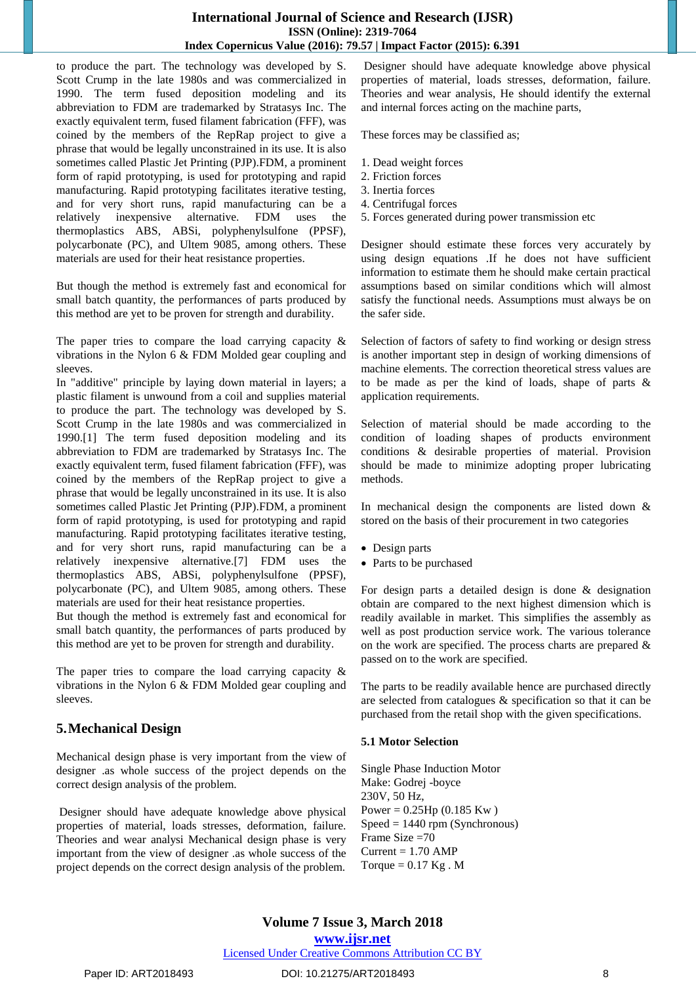#### **International Journal of Science and Research (IJSR) ISSN (Online): 2319-7064 Index Copernicus Value (2016): 79.57 | Impact Factor (2015): 6.391**

to produce the part. The technology was developed by S. Scott Crump in the late 1980s and was commercialized in 1990. The term fused deposition modeling and its abbreviation to FDM are trademarked by Stratasys Inc. The exactly equivalent term, fused filament fabrication (FFF), was coined by the members of the RepRap project to give a phrase that would be legally unconstrained in its use. It is also sometimes called Plastic Jet Printing (PJP).FDM, a prominent form of rapid prototyping, is used for prototyping and rapid manufacturing. Rapid prototyping facilitates iterative testing, and for very short runs, rapid manufacturing can be a relatively inexpensive alternative. FDM uses the thermoplastics ABS, ABSi, polyphenylsulfone (PPSF), polycarbonate (PC), and Ultem 9085, among others. These materials are used for their heat resistance properties.

But though the method is extremely fast and economical for small batch quantity, the performances of parts produced by this method are yet to be proven for strength and durability.

The paper tries to compare the load carrying capacity  $\&$ vibrations in the Nylon 6 & FDM Molded gear coupling and sleeves.

In "additive" principle by laying down material in layers; a plastic filament is unwound from a coil and supplies material to produce the part. The technology was developed by [S.](https://en.wikipedia.org/wiki/S._Scott_Crump) Scott [Crump](https://en.wikipedia.org/wiki/S._Scott_Crump) in the late 1980s and was commercialized in 1990[.\[1\]](https://en.wikipedia.org/wiki/Fused_deposition_modeling#cite_note-1) The term fused deposition modeling and its abbreviation to FDM are trademarked by [Stratasys](https://en.wikipedia.org/wiki/Stratasys) Inc. The exactly equivalent term, fused filament [fabrication](https://en.wikipedia.org/wiki/Fused_filament_fabrication) (FFF), was coined by the members of the [RepRap](https://en.wikipedia.org/wiki/RepRap) project to give a phrase that would be legally unconstrained in its use. It is also sometimes called Plastic Jet Printing (PJP).FDM, a prominent form of rapid [prototyping,](https://en.wikipedia.org/wiki/Rapid_prototyping) is used for prototyping and rapid manufacturing. Rapid prototyping facilitates iterative testing, and for very short runs, rapid manufacturing can be a relatively inexpensive alternative[.\[7\]](https://en.wikipedia.org/wiki/Fused_deposition_modeling#cite_note-7) FDM uses the [thermoplastics](https://en.wikipedia.org/wiki/Thermoplastics) ABS, ABSi, [polyphenylsulfone](https://en.wikipedia.org/wiki/Polyphenylsulfone) (PPSF), [polycarbonate](https://en.wikipedia.org/wiki/Polycarbonate) (PC), and [Ultem](https://en.wikipedia.org/wiki/Ultem) 9085, among others. These materials are used for their heat resistance properties.

But though the method is extremely fast and economical for small batch quantity, the performances of parts produced by this method are yet to be proven for strength and durability.

The paper tries to compare the load carrying capacity  $\&$ vibrations in the Nylon 6 & FDM Molded gear coupling and sleeves.

# **5.Mechanical Design**

Mechanical design phase is very important from the view of designer .as whole success of the project depends on the correct design analysis of the problem.

Designer should have adequate knowledge above physical properties of material, loads stresses, deformation, failure. Theories and wear analysi Mechanical design phase is very important from the view of designer .as whole success of the project depends on the correct design analysis of the problem.

Designer should have adequate knowledge above physical properties of material, loads stresses, deformation, failure. Theories and wear analysis, He should identify the external and internal forces acting on the machine parts,

These forces may be classified as;

- 1. Dead weight forces
- 2. Friction forces
- 3. Inertia forces
- 4. Centrifugal forces
- 5. Forces generated during power transmission etc

Designer should estimate these forces very accurately by using design equations .If he does not have sufficient information to estimate them he should make certain practical assumptions based on similar conditions which will almost satisfy the functional needs. Assumptions must always be on the safer side.

Selection of factors of safety to find working or design stress is another important step in design of working dimensions of machine elements. The correction theoretical stress values are to be made as per the kind of loads, shape of parts & application requirements.

Selection of material should be made according to the condition of loading shapes of products environment conditions & desirable properties of material. Provision should be made to minimize adopting proper lubricating methods.

In mechanical design the components are listed down & stored on the basis of their procurement in two categories

- Design parts
- Parts to be purchased

For design parts a detailed design is done & designation obtain are compared to the next highest dimension which is readily available in market. This simplifies the assembly as well as post production service work. The various tolerance on the work are specified. The process charts are prepared & passed on to the work are specified.

The parts to be readily available hence are purchased directly are selected from catalogues & specification so that it can be purchased from the retail shop with the given specifications.

#### **5.1 Motor Selection**

Single Phase Induction Motor Make: Godrej -boyce 230V, 50 Hz, Power =  $0.25$ Hp (0.185 Kw)  $Speed = 1440$  rpm (Synchronous) Frame Size =70  $Current = 1.70$  AMP Torque  $= 0.17$  Kg. M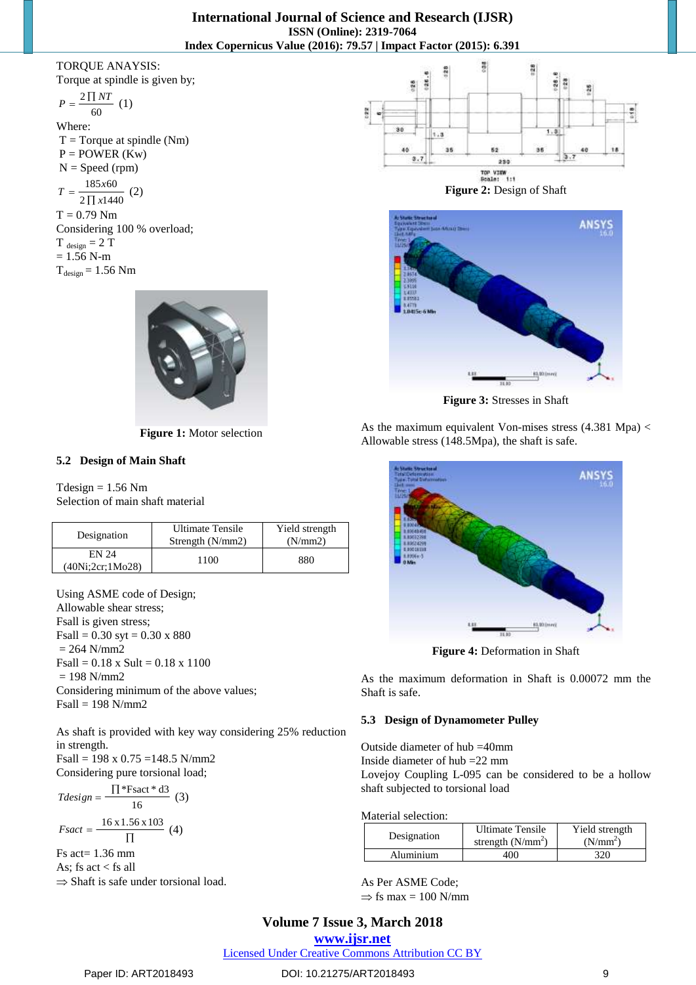#### TORQUE ANAYSIS: Torque at spindle is given by;

60  $P = \frac{2 \prod NT}{n}$  (1) Where:  $T = T$ orque at spindle (Nm)  $P = POWER (Kw)$  $N = Speed (rpm)$  $185 x 60$  $T = \frac{185x60}{2 \prod x 1440}$  (2)

 $2 \prod x 1440$ *x*  $T = 0.79$  Nm Considering 100 % overload;  $T_{\text{design}} = 2 T$  $= 1.56$  N-m  $T_{design} = 1.56$  Nm



**Figure 1:** Motor selection

# **5.2 Design of Main Shaft**

 $Tdesign = 1.56 Nm$ Selection of main shaft material

| Designation                 | <b>Ultimate Tensile</b><br>Strength $(N/mm2)$ | Yield strength<br>(N/mm 2) |
|-----------------------------|-----------------------------------------------|----------------------------|
| EN 24<br>(40Ni; 2cr; 1Mo28) | 1100                                          | 880                        |

Using ASME code of Design; Allowable shear stress; Fsall is given stress;  $Fsall = 0.30$  syt = 0.30 x 880  $= 264$  N/mm2  $Fsall = 0.18$  x Sult = 0.18 x 1100  $= 198$  N/mm2 Considering minimum of the above values; Fsall = 198 N/mm2

As shaft is provided with key way considering 25% reduction in strength.

Fsall = 198 x 0.75 =148.5 N/mm2 Considering pure torsional load;

$$
Tdesign = \frac{\prod \text{*Fsact} \cdot \text{d3}}{16} \quad (3)
$$
\n
$$
Fsact = \frac{16 \times 1.56 \times 103}{\prod} \quad (4)
$$
\n
$$
Fs act = 1.36 \text{ mm}
$$
\n
$$
As; fs act < fs all
$$

 $\Rightarrow$  Shaft is safe under torsional load.





**Figure 3:** Stresses in Shaft

As the maximum equivalent Von-mises stress (4.381 Mpa) < Allowable stress (148.5Mpa), the shaft is safe.



**Figure 4:** Deformation in Shaft

As the maximum deformation in Shaft is 0.00072 mm the Shaft is safe.

## **5.3 Design of Dynamometer Pulley**

Outside diameter of hub =40mm Inside diameter of hub =22 mm Lovejoy Coupling L-095 can be considered to be a hollow shaft subjected to torsional load

Material selection:

| Designation | <b>Ultimate Tensile</b><br>strength $(N/mm^2)$ | Yield strength<br>(N/mm <sup>2</sup> ) |  |  |  |
|-------------|------------------------------------------------|----------------------------------------|--|--|--|
| Aluminium   | 400                                            | 320                                    |  |  |  |

As Per ASME Code;  $\Rightarrow$  fs max = 100 N/mm

# **Volume 7 Issue 3, March 2018**

#### **[www.ijsr.net](file:///D:\IJSR%20Website\www.ijsr.net)**

[Licensed Under Creative Commons Attribution CC BY](http://creativecommons.org/licenses/by/4.0/)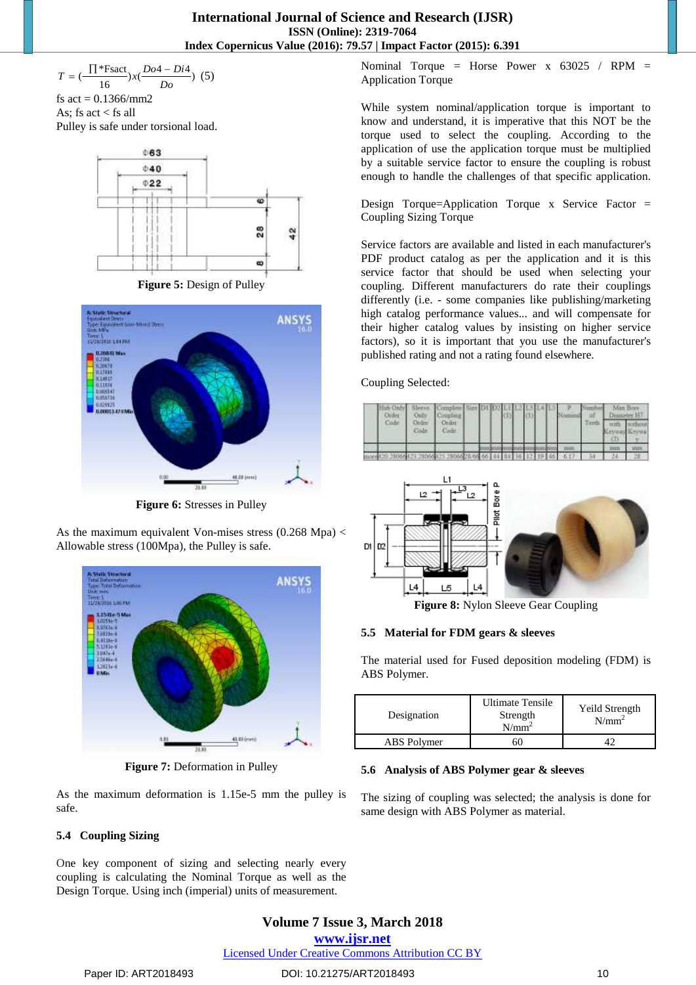\*Fsact<br>  $\frac{16}{16}$ ) x( $\frac{Do4 - Di4}{Do}$  $\left(\frac{\prod^* \text{Fsact}}{16}\right) x \left(\frac{Do4 - D}{Do}\right)$  $T = (\frac{\prod^* \text{Fsact}}{X}) x (\frac{Do4 - Di4}{X})$  (5)

fs  $act = 0.1366/mm2$ As; fs act  $\lt$  fs all Pulley is safe under torsional load.



**Figure 5:** Design of Pulley



**Figure 6:** Stresses in Pulley

As the maximum equivalent Von-mises stress  $(0.268 \text{ Mpa})$  < Allowable stress (100Mpa), the Pulley is safe.



**Figure 7:** Deformation in Pulley

As the maximum deformation is 1.15e-5 mm the pulley is safe.

## **5.4 Coupling Sizing**

One key component of sizing and selecting nearly every coupling is calculating the Nominal Torque as well as the Design Torque. Using inch (imperial) units of measurement.

Nominal Torque = Horse Power x 63025 / RPM = Application Torque

While system nominal/application torque is important to know and understand, it is imperative that this NOT be the torque used to select the coupling. According to the application of use the application torque must be multiplied by a suitable service factor to ensure the coupling is robust enough to handle the challenges of that specific application.

Design Torque=Application Torque x Service Factor = Coupling Sizing Torque

Service factors are available and listed in each manufacturer's PDF product catalog as per the application and it is this service factor that should be used when selecting your coupling. Different manufacturers do rate their couplings differently (i.e. - some companies like publishing/marketing high catalog performance values... and will compensate for their higher catalog values by insisting on higher service factors), so it is important that you use the manufacturer's published rating and not a rating found elsewhere.

Coupling Selected:

| <b>Order</b> | Only           | Hub Only Sleeve Complete Size DI [O2 L1 L2 L3 L4 L5<br>Coughter |  |  |  |  |  |  | 74788881 |                | Man Bore<br>Dispositor 14 |  |
|--------------|----------------|-----------------------------------------------------------------|--|--|--|--|--|--|----------|----------------|---------------------------|--|
| <b>Under</b> | Order:<br>Code | Ceder:<br><b>Cade</b>                                           |  |  |  |  |  |  | Terth    | <b>BEAUMAN</b> | with without              |  |
|              |                |                                                                 |  |  |  |  |  |  |          |                |                           |  |
|              |                |                                                                 |  |  |  |  |  |  |          |                |                           |  |



**Figure 8:** Nylon Sleeve Gear Coupling

## **5.5 Material for FDM gears & sleeves**

The material used for Fused deposition modeling (FDM) is ABS Polymer.

| Designation | <b>Ultimate Tensile</b><br>Strength<br>$N/mm^2$ | Yeild Strength<br>$N/mm^2$ |  |  |  |
|-------------|-------------------------------------------------|----------------------------|--|--|--|
| ABS Polymer | 60                                              |                            |  |  |  |

#### **5.6 Analysis of ABS Polymer gear & sleeves**

The sizing of coupling was selected; the analysis is done for same design with ABS Polymer as material.

# **Volume 7 Issue 3, March 2018 [www.ijsr.net](file:///D:\IJSR%20Website\www.ijsr.net)**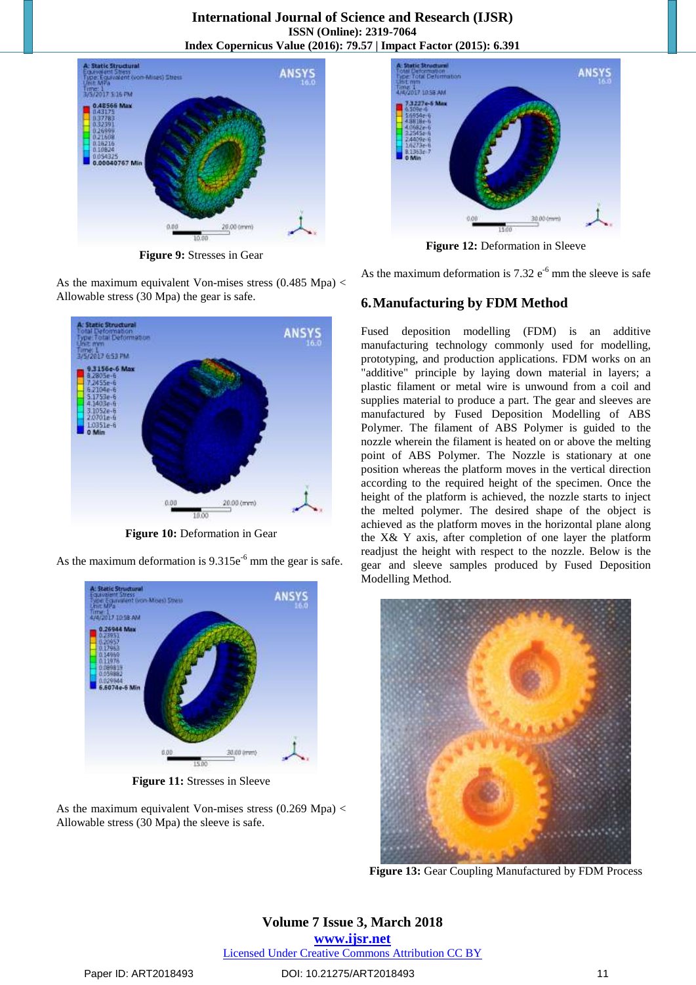

**Figure 9:** Stresses in Gear

As the maximum equivalent Von-mises stress (0.485 Mpa) < Allowable stress (30 Mpa) the gear is safe.



**Figure 10:** Deformation in Gear

As the maximum deformation is  $9.315e^{-6}$  mm the gear is safe.



**Figure 11:** Stresses in Sleeve

As the maximum equivalent Von-mises stress  $(0.269 \text{ Mpa})$  < Allowable stress (30 Mpa) the sleeve is safe.



**Figure 12:** Deformation in Sleeve

As the maximum deformation is  $7.32 e^{-6}$  mm the sleeve is safe

# **6.Manufacturing by FDM Method**

Fused deposition modelling (FDM) is an additive manufacturing technology commonly used for modelling, prototyping, and production applications. FDM works on an "additive" principle by laying down material in layers; a plastic filament or metal wire is unwound from a coil and supplies material to produce a part. The gear and sleeves are manufactured by Fused Deposition Modelling of ABS Polymer. The filament of ABS Polymer is guided to the nozzle wherein the filament is heated on or above the melting point of ABS Polymer. The Nozzle is stationary at one position whereas the platform moves in the vertical direction according to the required height of the specimen. Once the height of the platform is achieved, the nozzle starts to inject the melted polymer. The desired shape of the object is achieved as the platform moves in the horizontal plane along the X& Y axis, after completion of one layer the platform readjust the height with respect to the nozzle. Below is the gear and sleeve samples produced by Fused Deposition Modelling Method.



**Figure 13:** Gear Coupling Manufactured by FDM Process

**Volume 7 Issue 3, March 2018 [www.ijsr.net](file:///D:\IJSR%20Website\www.ijsr.net)** [Licensed Under Creative Commons Attribution CC BY](http://creativecommons.org/licenses/by/4.0/)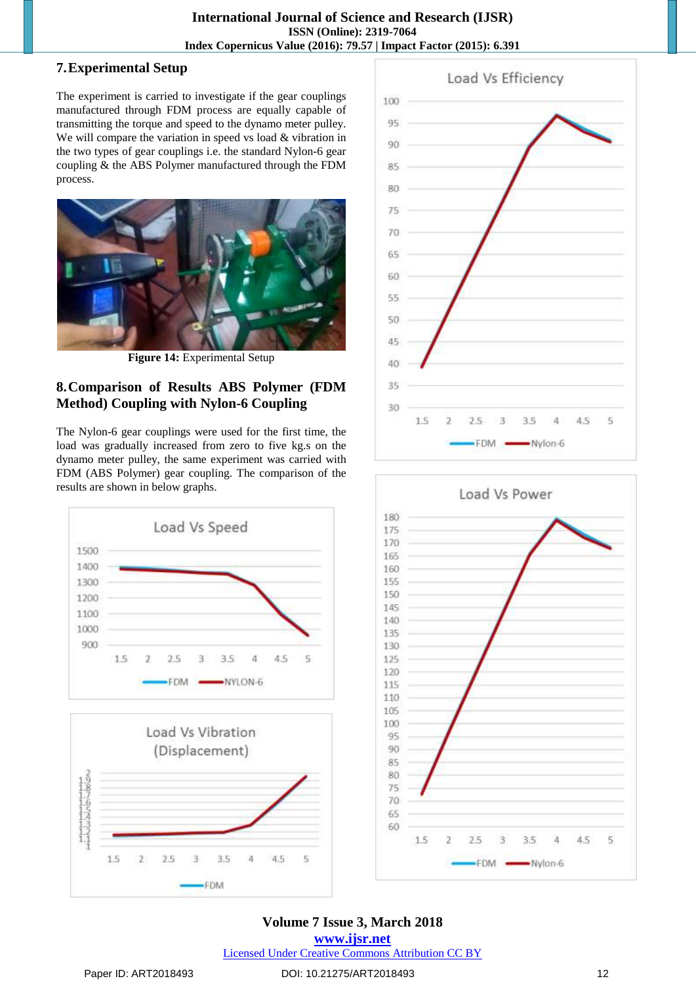# **7.Experimental Setup**

The experiment is carried to investigate if the gear couplings manufactured through FDM process are equally capable of transmitting the torque and speed to the dynamo meter pulley. We will compare the variation in speed vs load & vibration in the two types of gear couplings i.e. the standard Nylon-6 gear coupling & the ABS Polymer manufactured through the FDM process.



**Figure 14:** Experimental Setup

# **8.Comparison of Results ABS Polymer (FDM Method) Coupling with Nylon-6 Coupling**

The Nylon-6 gear couplings were used for the first time, the load was gradually increased from zero to five kg.s on the dynamo meter pulley, the same experiment was carried with FDM (ABS Polymer) gear coupling. The comparison of the results are shown in below graphs.







# **Volume 7 Issue 3, March 2018**

**[www.ijsr.net](file:///D:\IJSR%20Website\www.ijsr.net)** [Licensed Under Creative Commons Attribution CC BY](http://creativecommons.org/licenses/by/4.0/)

Ď

 $2.5$ 

3.5

**FDM** 

 $\Lambda$   $\mathbb{C}$ 

t,

ä

in hine

1.5

# Paper ID: ART2018493 DOI: 10.21275/ART2018493 12